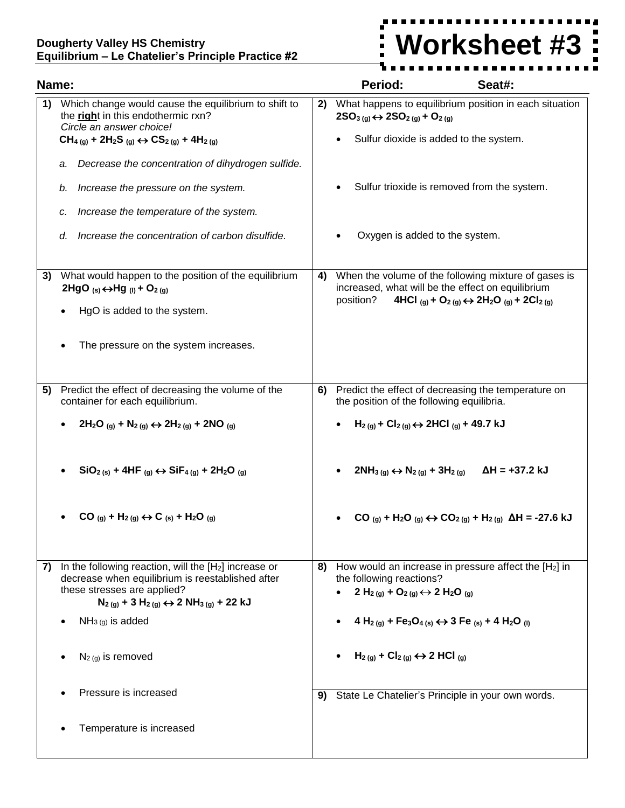## **Dougherty Valley HS Chemistry Equilibrium – Le Chatelier's Principle Practice #2**



| Name: |                                                                                                                                                                                                           |    | Period:                                                                                                                                                                                                              | Seat#:                                                                                                                            |
|-------|-----------------------------------------------------------------------------------------------------------------------------------------------------------------------------------------------------------|----|----------------------------------------------------------------------------------------------------------------------------------------------------------------------------------------------------------------------|-----------------------------------------------------------------------------------------------------------------------------------|
| 1)    | Which change would cause the equilibrium to shift to<br>the right in this endothermic rxn?<br>Circle an answer choice!                                                                                    |    | What happens to equilibrium position in each situation<br>$2SO_{3(g)} \leftrightarrow 2SO_{2(g)} + O_{2(g)}$                                                                                                         |                                                                                                                                   |
|       | $CH_{4(g)} + 2H_{2}S_{(g)} \leftrightarrow CS_{2(g)} + 4H_{2(g)}$                                                                                                                                         |    | Sulfur dioxide is added to the system.<br>$\bullet$                                                                                                                                                                  |                                                                                                                                   |
|       | Decrease the concentration of dihydrogen sulfide.<br>a.                                                                                                                                                   |    |                                                                                                                                                                                                                      |                                                                                                                                   |
|       | Increase the pressure on the system.<br>b.                                                                                                                                                                |    |                                                                                                                                                                                                                      | Sulfur trioxide is removed from the system.                                                                                       |
|       | Increase the temperature of the system.<br>c.                                                                                                                                                             |    |                                                                                                                                                                                                                      |                                                                                                                                   |
|       | Increase the concentration of carbon disulfide.<br>d.                                                                                                                                                     |    | Oxygen is added to the system.                                                                                                                                                                                       |                                                                                                                                   |
| 3)    | What would happen to the position of the equilibrium<br>2HgO (s) $\leftrightarrow$ Hg (l) + O <sub>2(g)</sub>                                                                                             | 4) | When the volume of the following mixture of gases is<br>increased, what will be the effect on equilibrium<br>position?<br>4HCl (g) + O <sub>2(g)</sub> $\leftrightarrow$ 2H <sub>2</sub> O (g) + 2Cl <sub>2(g)</sub> |                                                                                                                                   |
|       | HgO is added to the system.                                                                                                                                                                               |    |                                                                                                                                                                                                                      |                                                                                                                                   |
|       | The pressure on the system increases.                                                                                                                                                                     |    |                                                                                                                                                                                                                      |                                                                                                                                   |
| 5)    | Predict the effect of decreasing the volume of the<br>container for each equilibrium.                                                                                                                     | 6) | the position of the following equilibria.                                                                                                                                                                            | Predict the effect of decreasing the temperature on                                                                               |
|       | $2H_2O_{(g)} + N_2(g) \leftrightarrow 2H_2(g) + 2NO_{(g)}$                                                                                                                                                |    | $H_{2(g)}$ + Cl <sub>2(g)</sub> $\leftrightarrow$ 2HCl <sub>(g)</sub> + 49.7 kJ                                                                                                                                      |                                                                                                                                   |
|       | $SiO2 (s) + 4HF (q) \leftrightarrow SiF4 (q) + 2H2O (q)$                                                                                                                                                  |    | $2NH_{3(g)} \leftrightarrow N_{2(g)} + 3H_{2(g)}$                                                                                                                                                                    | $\Delta H = +37.2$ kJ                                                                                                             |
|       | $CO_{(q)} + H_{2(q)} \leftrightarrow C_{(s)} + H_{2}O_{(q)}$                                                                                                                                              |    |                                                                                                                                                                                                                      | CO (g) + H <sub>2</sub> O (g) ↔ CO <sub>2(g)</sub> + H <sub>2(g)</sub> ΔH = -27.6 kJ                                              |
| 7)    | In the following reaction, will the $[H_2]$ increase or<br>decrease when equilibrium is reestablished after<br>these stresses are applied?<br>$N_{2(g)} + 3 H_{2(g)} \leftrightarrow 2 NH_{3(g)} + 22 KJ$ | 8) | the following reactions?<br>2 H <sub>2(g)</sub> + O <sub>2(g)</sub> $\leftrightarrow$ 2 H <sub>2</sub> O <sub>(g)</sub>                                                                                              | How would an increase in pressure affect the [H <sub>2</sub> ] in                                                                 |
|       | $NH3(g)$ is added                                                                                                                                                                                         |    |                                                                                                                                                                                                                      | 4 H <sub>2(g)</sub> + Fe <sub>3</sub> O <sub>4(s)</sub> $\leftrightarrow$ 3 Fe <sub>(s)</sub> + 4 H <sub>2</sub> O <sub>(l)</sub> |
|       | $N_{2(g)}$ is removed                                                                                                                                                                                     |    | $H_{2(g)}$ + Cl <sub>2(g)</sub> $\leftrightarrow$ 2 HCl <sub>(g)</sub>                                                                                                                                               |                                                                                                                                   |
|       | Pressure is increased                                                                                                                                                                                     | 9) |                                                                                                                                                                                                                      | State Le Chatelier's Principle in your own words.                                                                                 |
|       | Temperature is increased                                                                                                                                                                                  |    |                                                                                                                                                                                                                      |                                                                                                                                   |